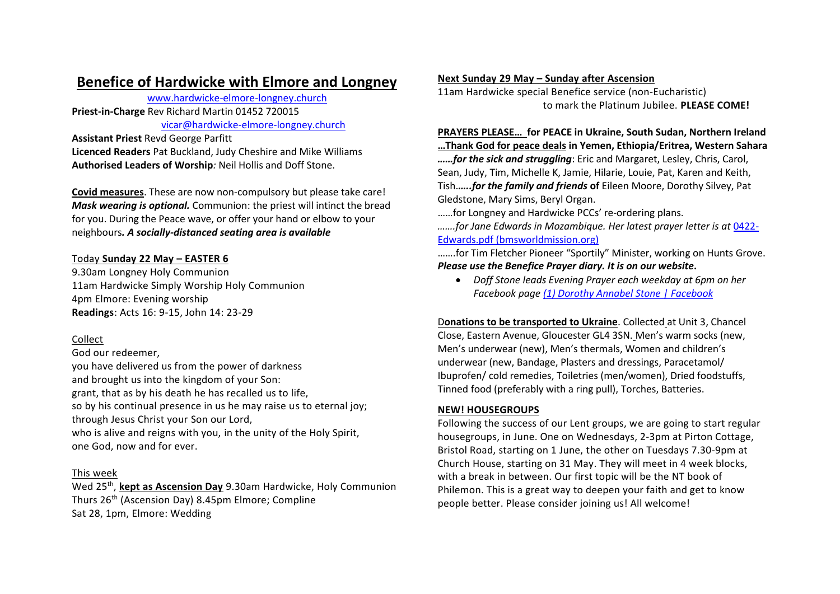# **Benefice of Hardwicke with Elmore and Longney**

www.hardwicke-elmore-longney.church **Priest-in-Charge** Rev Richard Martin 01452 720015 vicar@hardwicke-elmore-longney.church

**Assistant Priest** Revd George Parfitt **Licenced Readers** Pat Buckland, Judy Cheshire and Mike Williams **Authorised Leaders of Worship***:* Neil Hollis and Doff Stone.

**Covid measures**. These are now non-compulsory but please take care! *Mask wearing is optional.* Communion: the priest will intinct the bread for you. During the Peace wave, or offer your hand or elbow to your neighbours*. A socially-distanced seating area is available*

# Today **Sunday 22 May – EASTER 6**

9.30am Longney Holy Communion 11am Hardwicke Simply Worship Holy Communion 4pm Elmore: Evening worship **Readings**: Acts 16: 9-15, John 14: 23-29

# Collect

God our redeemer,

you have delivered us from the power of darkness and brought us into the kingdom of your Son: grant, that as by his death he has recalled us to life, so by his continual presence in us he may raise us to eternal joy; through Jesus Christ your Son our Lord, who is alive and reigns with you, in the unity of the Holy Spirit, one God, now and for ever.

### This week

Wed 25th , **kept as Ascension Day** 9.30am Hardwicke, Holy Communion Thurs 26<sup>th</sup> (Ascension Day) 8.45pm Elmore; Compline Sat 28, 1pm, Elmore: Wedding

### **Next Sunday 29 May – Sunday after Ascension**

11am Hardwicke special Benefice service (non-Eucharistic) to mark the Platinum Jubilee. **PLEASE COME!**

# **PRAYERS PLEASE… for PEACE in Ukraine, South Sudan, Northern Ireland**

**…Thank God for peace deals in Yemen, Ethiopia/Eritrea, Western Sahara** *……for the sick and struggling*: Eric and Margaret, Lesley, Chris, Carol, Sean, Judy, Tim, Michelle K, Jamie, Hilarie, Louie, Pat, Karen and Keith, Tish.*…..for the family and friends* **of** Eileen Moore, Dorothy Silvey, Pat Gledstone, Mary Sims, Beryl Organ.

……for Longney and Hardwicke PCCs' re-ordering plans.

*…….for Jane Edwards in Mozambique. Her latest prayer letter is at* 0422- Edwards.pdf (bmsworldmission.org)

…….for Tim Fletcher Pioneer "Sportily" Minister, working on Hunts Grove. *Please use the Benefice Prayer diary. It is on our website***.**

• *Doff Stone leads Evening Prayer each weekday at 6pm on her Facebook page (1) Dorothy Annabel Stone | Facebook*

D**onations to be transported to Ukraine**. Collected at Unit 3, Chancel Close, Eastern Avenue, Gloucester GL4 3SN. Men's warm socks (new, Men's underwear (new), Men's thermals, Women and children's underwear (new, Bandage, Plasters and dressings, Paracetamol/ Ibuprofen/ cold remedies, Toiletries (men/women), Dried foodstuffs, Tinned food (preferably with a ring pull), Torches, Batteries.

# **NEW! HOUSEGROUPS**

Following the success of our Lent groups, we are going to start regular housegroups, in June. One on Wednesdays, 2-3pm at Pirton Cottage, Bristol Road, starting on 1 June, the other on Tuesdays 7.30-9pm at Church House, starting on 31 May. They will meet in 4 week blocks, with a break in between. Our first topic will be the NT book of Philemon. This is a great way to deepen your faith and get to know people better. Please consider joining us! All welcome!